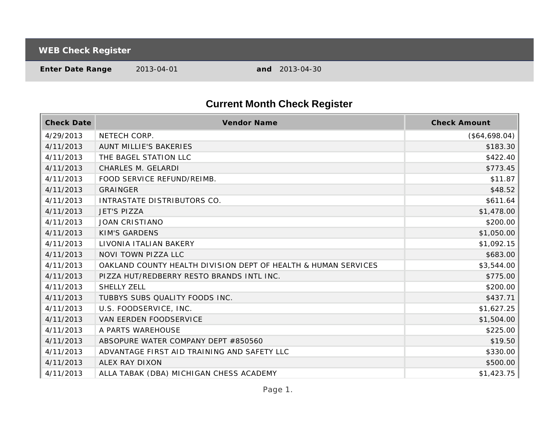**WEB Check Register**

**Enter Date Range** 2013-04-01 **and** 2013-04-30

## **Current Month Check Register**

| <b>Check Date</b> | Vendor Name                                                    | <b>Check Amount</b> |
|-------------------|----------------------------------------------------------------|---------------------|
| 4/29/2013         | NETECH CORP.                                                   | (\$64,698.04)       |
| 4/11/2013         | <b>AUNT MILLIE'S BAKERIES</b>                                  | \$183.30            |
| 4/11/2013         | THE BAGEL STATION LLC                                          | \$422.40            |
| 4/11/2013         | CHARLES M. GELARDI                                             | \$773.45            |
| 4/11/2013         | FOOD SERVICE REFUND/REIMB.                                     | \$11.87             |
| 4/11/2013         | <b>GRAINGER</b>                                                | \$48.52             |
| 4/11/2013         | INTRASTATE DISTRIBUTORS CO.                                    | \$611.64            |
| 4/11/2013         | <b>JET'S PIZZA</b>                                             | \$1,478.00          |
| 4/11/2013         | <b>JOAN CRISTIANO</b>                                          | \$200.00            |
| 4/11/2013         | <b>KIM'S GARDENS</b>                                           | \$1,050.00          |
| 4/11/2013         | LIVONIA ITALIAN BAKERY                                         | \$1,092.15          |
| 4/11/2013         | NOVI TOWN PIZZA LLC                                            | \$683.00            |
| 4/11/2013         | OAKLAND COUNTY HEALTH DIVISION DEPT OF HEALTH & HUMAN SERVICES | \$3,544.00          |
| 4/11/2013         | PIZZA HUT/REDBERRY RESTO BRANDS INTL INC.                      | \$775.00            |
| 4/11/2013         | <b>SHELLY ZELL</b>                                             | \$200.00            |
| 4/11/2013         | TUBBYS SUBS QUALITY FOODS INC.                                 | \$437.71            |
| 4/11/2013         | U.S. FOODSERVICE, INC.                                         | \$1,627.25          |
| 4/11/2013         | <b>VAN EERDEN FOODSERVICE</b>                                  | \$1,504.00          |
| 4/11/2013         | A PARTS WAREHOUSE                                              | \$225.00            |
| 4/11/2013         | ABSOPURE WATER COMPANY DEPT #850560                            | \$19.50             |
| 4/11/2013         | ADVANTAGE FIRST AID TRAINING AND SAFETY LLC                    | \$330.00            |
| 4/11/2013         | ALEX RAY DIXON                                                 | \$500.00            |
| 4/11/2013         | ALLA TABAK (DBA) MICHIGAN CHESS ACADEMY                        | \$1,423.75          |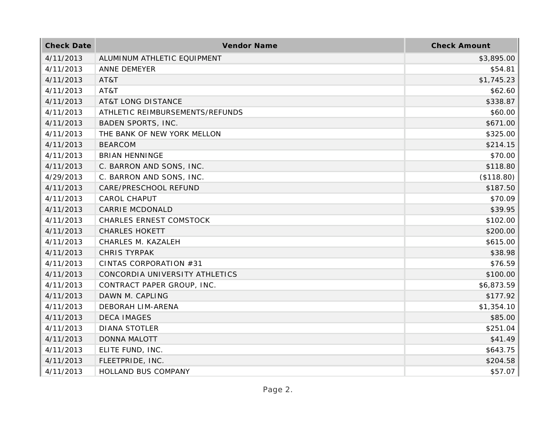| <b>Check Date</b> | Vendor Name                     | <b>Check Amount</b> |
|-------------------|---------------------------------|---------------------|
| 4/11/2013         | ALUMINUM ATHLETIC EQUIPMENT     | \$3,895.00          |
| 4/11/2013         | ANNE DEMEYER                    | \$54.81             |
| 4/11/2013         | AT&T                            | \$1,745.23          |
| 4/11/2013         | AT&T                            | \$62.60             |
| 4/11/2013         | <b>AT&amp;T LONG DISTANCE</b>   | \$338.87            |
| 4/11/2013         | ATHLETIC REIMBURSEMENTS/REFUNDS | \$60.00             |
| 4/11/2013         | <b>BADEN SPORTS, INC.</b>       | \$671.00            |
| 4/11/2013         | THE BANK OF NEW YORK MELLON     | \$325.00            |
| 4/11/2013         | <b>BEARCOM</b>                  | \$214.15            |
| 4/11/2013         | <b>BRIAN HENNINGE</b>           | \$70.00             |
| 4/11/2013         | C. BARRON AND SONS, INC.        | \$118.80            |
| 4/29/2013         | C. BARRON AND SONS, INC.        | (\$118.80)          |
| 4/11/2013         | CARE/PRESCHOOL REFUND           | \$187.50            |
| 4/11/2013         | <b>CAROL CHAPUT</b>             | \$70.09             |
| 4/11/2013         | <b>CARRIE MCDONALD</b>          | \$39.95             |
| 4/11/2013         | <b>CHARLES ERNEST COMSTOCK</b>  | \$102.00            |
| 4/11/2013         | <b>CHARLES HOKETT</b>           | \$200.00            |
| 4/11/2013         | CHARLES M. KAZALEH              | \$615.00            |
| 4/11/2013         | <b>CHRIS TYRPAK</b>             | \$38.98             |
| 4/11/2013         | CINTAS CORPORATION #31          | \$76.59             |
| 4/11/2013         | CONCORDIA UNIVERSITY ATHLETICS  | \$100.00            |
| 4/11/2013         | CONTRACT PAPER GROUP, INC.      | \$6,873.59          |
| 4/11/2013         | DAWN M. CAPLING                 | \$177.92            |
| 4/11/2013         | DEBORAH LIM-ARENA               | \$1,354.10          |
| 4/11/2013         | <b>DECA IMAGES</b>              | \$85.00             |
| 4/11/2013         | <b>DIANA STOTLER</b>            | \$251.04            |
| 4/11/2013         | <b>DONNA MALOTT</b>             | \$41.49             |
| 4/11/2013         | ELITE FUND, INC.                | \$643.75            |
| 4/11/2013         | FLEETPRIDE, INC.                | \$204.58            |
| 4/11/2013         | HOLLAND BUS COMPANY             | \$57.07             |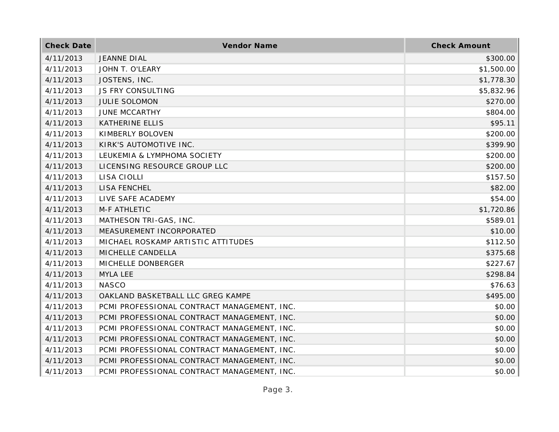| <b>Check Date</b> | Vendor Name                                 | <b>Check Amount</b> |
|-------------------|---------------------------------------------|---------------------|
| 4/11/2013         | <b>JEANNE DIAL</b>                          | \$300.00            |
| 4/11/2013         | JOHN T. O'LEARY                             | \$1,500.00          |
| 4/11/2013         | JOSTENS, INC.                               | \$1,778.30          |
| 4/11/2013         | JS FRY CONSULTING                           | \$5,832.96          |
| 4/11/2013         | <b>JULIE SOLOMON</b>                        | \$270.00            |
| 4/11/2013         | <b>JUNE MCCARTHY</b>                        | \$804.00            |
| 4/11/2013         | KATHERINE ELLIS                             | \$95.11             |
| 4/11/2013         | KIMBERLY BOLOVEN                            | \$200.00            |
| 4/11/2013         | KIRK'S AUTOMOTIVE INC.                      | \$399.90            |
| 4/11/2013         | LEUKEMIA & LYMPHOMA SOCIETY                 | \$200.00            |
| 4/11/2013         | LICENSING RESOURCE GROUP LLC                | \$200.00            |
| 4/11/2013         | LISA CIOLLI                                 | \$157.50            |
| 4/11/2013         | LISA FENCHEL                                | \$82.00             |
| 4/11/2013         | LIVE SAFE ACADEMY                           | \$54.00             |
| 4/11/2013         | M-F ATHLETIC                                | \$1,720.86          |
| 4/11/2013         | MATHESON TRI-GAS, INC.                      | \$589.01            |
| 4/11/2013         | MEASUREMENT INCORPORATED                    | \$10.00             |
| 4/11/2013         | MICHAEL ROSKAMP ARTISTIC ATTITUDES          | \$112.50            |
| 4/11/2013         | MICHELLE CANDELLA                           | \$375.68            |
| 4/11/2013         | MICHELLE DONBERGER                          | \$227.67            |
| 4/11/2013         | MYLA LEE                                    | \$298.84            |
| 4/11/2013         | <b>NASCO</b>                                | \$76.63             |
| 4/11/2013         | OAKLAND BASKETBALL LLC GREG KAMPE           | \$495.00            |
| 4/11/2013         | PCMI PROFESSIONAL CONTRACT MANAGEMENT, INC. | \$0.00              |
| 4/11/2013         | PCMI PROFESSIONAL CONTRACT MANAGEMENT, INC. | \$0.00              |
| 4/11/2013         | PCMI PROFESSIONAL CONTRACT MANAGEMENT, INC. | \$0.00              |
| 4/11/2013         | PCMI PROFESSIONAL CONTRACT MANAGEMENT, INC. | \$0.00              |
| 4/11/2013         | PCMI PROFESSIONAL CONTRACT MANAGEMENT, INC. | \$0.00              |
| 4/11/2013         | PCMI PROFESSIONAL CONTRACT MANAGEMENT, INC. | \$0.00              |
| 4/11/2013         | PCMI PROFESSIONAL CONTRACT MANAGEMENT, INC. | \$0.00              |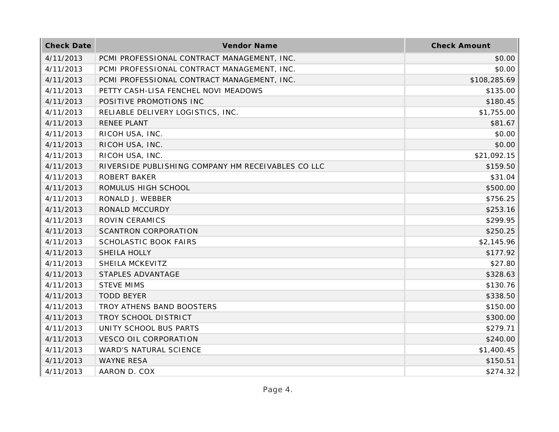| <b>Check Date</b> | Vendor Name                                        | <b>Check Amount</b> |
|-------------------|----------------------------------------------------|---------------------|
| 4/11/2013         | PCMI PROFESSIONAL CONTRACT MANAGEMENT, INC.        | \$0.00              |
| 4/11/2013         | PCMI PROFESSIONAL CONTRACT MANAGEMENT, INC.        | \$0.00              |
| 4/11/2013         | PCMI PROFESSIONAL CONTRACT MANAGEMENT, INC.        | \$108,285.69        |
| 4/11/2013         | PETTY CASH-LISA FENCHEL NOVI MEADOWS               | \$135.00            |
| 4/11/2013         | POSITIVE PROMOTIONS INC                            | \$180.45            |
| 4/11/2013         | RELIABLE DELIVERY LOGISTICS, INC.                  | \$1,755.00          |
| 4/11/2013         | RENEE PLANT                                        | \$81.67             |
| 4/11/2013         | RICOH USA, INC.                                    | \$0.00              |
| 4/11/2013         | RICOH USA, INC.                                    | \$0.00              |
| 4/11/2013         | RICOH USA, INC.                                    | \$21,092.15         |
| 4/11/2013         | RIVERSIDE PUBLISHING COMPANY HM RECEIVABLES CO LLC | \$159.50            |
| 4/11/2013         | <b>ROBERT BAKER</b>                                | \$31.04             |
| 4/11/2013         | ROMULUS HIGH SCHOOL                                | \$500.00            |
| 4/11/2013         | RONALD J. WEBBER                                   | \$756.25            |
| 4/11/2013         | RONALD MCCURDY                                     | \$253.16            |
| 4/11/2013         | ROVIN CERAMICS                                     | \$299.95            |
| 4/11/2013         | <b>SCANTRON CORPORATION</b>                        | \$250.25            |
| 4/11/2013         | SCHOLASTIC BOOK FAIRS                              | \$2,145.96          |
| 4/11/2013         | SHEILA HOLLY                                       | \$177.92            |
| 4/11/2013         | SHEILA MCKEVITZ                                    | \$27.80             |
| 4/11/2013         | STAPLES ADVANTAGE                                  | \$328.63            |
| 4/11/2013         | <b>STEVE MIMS</b>                                  | \$130.76            |
| 4/11/2013         | <b>TODD BEYER</b>                                  | \$338.50            |
| 4/11/2013         | TROY ATHENS BAND BOOSTERS                          | \$150.00            |
| 4/11/2013         | TROY SCHOOL DISTRICT                               | \$300.00            |
| 4/11/2013         | UNITY SCHOOL BUS PARTS                             | \$279.71            |
| 4/11/2013         | <b>VESCO OIL CORPORATION</b>                       | \$240.00            |
| 4/11/2013         | WARD'S NATURAL SCIENCE                             | \$1,400.45          |
| 4/11/2013         | <b>WAYNE RESA</b>                                  | \$150.51            |
| 4/11/2013         | AARON D. COX                                       | \$274.32            |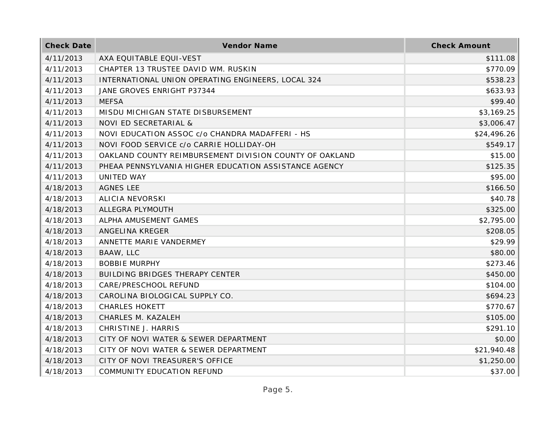| <b>Check Date</b> | Vendor Name                                             | <b>Check Amount</b> |
|-------------------|---------------------------------------------------------|---------------------|
| 4/11/2013         | AXA EQUITABLE EQUI-VEST                                 | \$111.08            |
| 4/11/2013         | CHAPTER 13 TRUSTEE DAVID WM. RUSKIN                     | \$770.09            |
| 4/11/2013         | INTERNATIONAL UNION OPERATING ENGINEERS, LOCAL 324      | \$538.23            |
| 4/11/2013         | JANE GROVES ENRIGHT P37344                              | \$633.93            |
| 4/11/2013         | <b>MEFSA</b>                                            | \$99.40             |
| 4/11/2013         | MISDU MICHIGAN STATE DISBURSEMENT                       | \$3,169.25          |
| 4/11/2013         | NOVI ED SECRETARIAL &                                   | \$3,006.47          |
| 4/11/2013         | NOVI EDUCATION ASSOC c/o CHANDRA MADAFFERI - HS         | \$24,496.26         |
| 4/11/2013         | NOVI FOOD SERVICE c/o CARRIE HOLLIDAY-OH                | \$549.17            |
| 4/11/2013         | OAKLAND COUNTY REIMBURSEMENT DIVISION COUNTY OF OAKLAND | \$15.00             |
| 4/11/2013         | PHEAA PENNSYLVANIA HIGHER EDUCATION ASSISTANCE AGENCY   | \$125.35            |
| 4/11/2013         | UNITED WAY                                              | \$95.00             |
| 4/18/2013         | <b>AGNES LEE</b>                                        | \$166.50            |
| 4/18/2013         | <b>ALICIA NEVORSKI</b>                                  | \$40.78             |
| 4/18/2013         | ALLEGRA PLYMOUTH                                        | \$325.00            |
| 4/18/2013         | ALPHA AMUSEMENT GAMES                                   | \$2,795.00          |
| 4/18/2013         | ANGELINA KREGER                                         | \$208.05            |
| 4/18/2013         | ANNETTE MARIE VANDERMEY                                 | \$29.99             |
| 4/18/2013         | BAAW, LLC                                               | \$80.00             |
| 4/18/2013         | <b>BOBBIE MURPHY</b>                                    | \$273.46            |
| 4/18/2013         | BUILDING BRIDGES THERAPY CENTER                         | \$450.00            |
| 4/18/2013         | CARE/PRESCHOOL REFUND                                   | \$104.00            |
| 4/18/2013         | CAROLINA BIOLOGICAL SUPPLY CO.                          | \$694.23            |
| 4/18/2013         | <b>CHARLES HOKETT</b>                                   | \$770.67            |
| 4/18/2013         | CHARLES M. KAZALEH                                      | \$105.00            |
| 4/18/2013         | CHRISTINE J. HARRIS                                     | \$291.10            |
| 4/18/2013         | CITY OF NOVI WATER & SEWER DEPARTMENT                   | \$0.00              |
| 4/18/2013         | CITY OF NOVI WATER & SEWER DEPARTMENT                   | \$21,940.48         |
| 4/18/2013         | CITY OF NOVI TREASURER'S OFFICE                         | \$1,250.00          |
| 4/18/2013         | COMMUNITY EDUCATION REFUND                              | \$37.00             |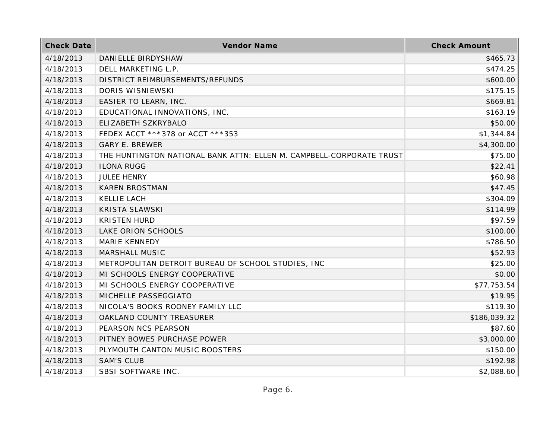| <b>Check Date</b> | Vendor Name                                                          | <b>Check Amount</b> |
|-------------------|----------------------------------------------------------------------|---------------------|
| 4/18/2013         | DANIELLE BIRDYSHAW                                                   | \$465.73            |
| 4/18/2013         | DELL MARKETING L.P.                                                  | \$474.25            |
| 4/18/2013         | DISTRICT REIMBURSEMENTS/REFUNDS                                      | \$600.00            |
| 4/18/2013         | DORIS WISNIEWSKI                                                     | \$175.15            |
| 4/18/2013         | EASIER TO LEARN, INC.                                                | \$669.81            |
| 4/18/2013         | EDUCATIONAL INNOVATIONS, INC.                                        | \$163.19            |
| 4/18/2013         | ELIZABETH SZKRYBALO                                                  | \$50.00             |
| 4/18/2013         | FEDEX ACCT ***378 or ACCT ***353                                     | \$1,344.84          |
| 4/18/2013         | <b>GARY E. BREWER</b>                                                | \$4,300.00          |
| 4/18/2013         | THE HUNTINGTON NATIONAL BANK ATTN: ELLEN M. CAMPBELL-CORPORATE TRUST | \$75.00             |
| 4/18/2013         | <b>ILONA RUGG</b>                                                    | \$22.41             |
| 4/18/2013         | <b>JULEE HENRY</b>                                                   | \$60.98             |
| 4/18/2013         | <b>KAREN BROSTMAN</b>                                                | \$47.45             |
| 4/18/2013         | <b>KELLIE LACH</b>                                                   | \$304.09            |
| 4/18/2013         | <b>KRISTA SLAWSKI</b>                                                | \$114.99            |
| 4/18/2013         | <b>KRISTEN HURD</b>                                                  | \$97.59             |
| 4/18/2013         | LAKE ORION SCHOOLS                                                   | \$100.00            |
| 4/18/2013         | <b>MARIE KENNEDY</b>                                                 | \$786.50            |
| 4/18/2013         | MARSHALL MUSIC                                                       | \$52.93             |
| 4/18/2013         | METROPOLITAN DETROIT BUREAU OF SCHOOL STUDIES, INC                   | \$25.00             |
| 4/18/2013         | MI SCHOOLS ENERGY COOPERATIVE                                        | \$0.00              |
| 4/18/2013         | MI SCHOOLS ENERGY COOPERATIVE                                        | \$77,753.54         |
| 4/18/2013         | MICHELLE PASSEGGIATO                                                 | \$19.95             |
| 4/18/2013         | NICOLA'S BOOKS ROONEY FAMILY LLC                                     | \$119.30            |
| 4/18/2013         | OAKLAND COUNTY TREASURER                                             | \$186,039.32        |
| 4/18/2013         | PEARSON NCS PEARSON                                                  | \$87.60             |
| 4/18/2013         | PITNEY BOWES PURCHASE POWER                                          | \$3,000.00          |
| 4/18/2013         | PLYMOUTH CANTON MUSIC BOOSTERS                                       | \$150.00            |
| 4/18/2013         | <b>SAM'S CLUB</b>                                                    | \$192.98            |
| 4/18/2013         | SBSI SOFTWARE INC.                                                   | \$2,088.60          |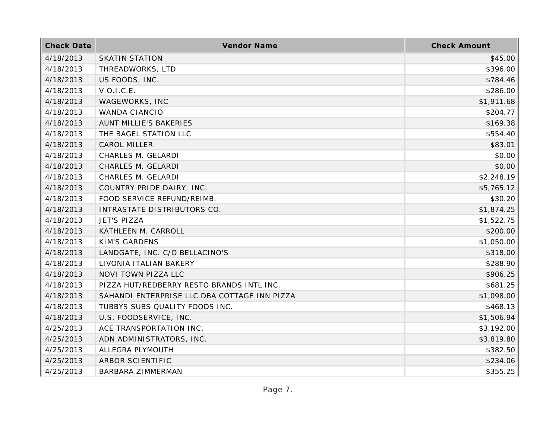| <b>Check Date</b> | Vendor Name                                  | <b>Check Amount</b> |
|-------------------|----------------------------------------------|---------------------|
| 4/18/2013         | <b>SKATIN STATION</b>                        | \$45.00             |
| 4/18/2013         | THREADWORKS, LTD                             | \$396.00            |
| 4/18/2013         | US FOODS, INC.                               | \$784.46            |
| 4/18/2013         | V.O.I.C.E.                                   | \$286.00            |
| 4/18/2013         | WAGEWORKS, INC                               | \$1,911.68          |
| 4/18/2013         | <b>WANDA CIANCIO</b>                         | \$204.77            |
| 4/18/2013         | AUNT MILLIE'S BAKERIES                       | \$169.38            |
| 4/18/2013         | THE BAGEL STATION LLC                        | \$554.40            |
| 4/18/2013         | <b>CAROL MILLER</b>                          | \$83.01             |
| 4/18/2013         | CHARLES M. GELARDI                           | \$0.00              |
| 4/18/2013         | CHARLES M. GELARDI                           | \$0.00              |
| 4/18/2013         | CHARLES M. GELARDI                           | \$2,248.19          |
| 4/18/2013         | COUNTRY PRIDE DAIRY, INC.                    | \$5,765.12          |
| 4/18/2013         | FOOD SERVICE REFUND/REIMB.                   | \$30.20             |
| 4/18/2013         | INTRASTATE DISTRIBUTORS CO.                  | \$1,874.25          |
| 4/18/2013         | JET'S PIZZA                                  | \$1,522.75          |
| 4/18/2013         | KATHLEEN M. CARROLL                          | \$200.00            |
| 4/18/2013         | <b>KIM'S GARDENS</b>                         | \$1,050.00          |
| 4/18/2013         | LANDGATE, INC. C/O BELLACINO'S               | \$318.00            |
| 4/18/2013         | LIVONIA ITALIAN BAKERY                       | \$288.90            |
| 4/18/2013         | NOVI TOWN PIZZA LLC                          | \$906.25            |
| 4/18/2013         | PIZZA HUT/REDBERRY RESTO BRANDS INTL INC.    | \$681.25            |
| 4/18/2013         | SAHANDI ENTERPRISE LLC DBA COTTAGE INN PIZZA | \$1,098.00          |
| 4/18/2013         | TUBBYS SUBS QUALITY FOODS INC.               | \$468.13            |
| 4/18/2013         | U.S. FOODSERVICE, INC.                       | \$1,506.94          |
| 4/25/2013         | ACE TRANSPORTATION INC.                      | \$3,192.00          |
| 4/25/2013         | ADN ADMINISTRATORS, INC.                     | \$3,819.80          |
| 4/25/2013         | ALLEGRA PLYMOUTH                             | \$382.50            |
| 4/25/2013         | ARBOR SCIENTIFIC                             | \$234.06            |
| 4/25/2013         | <b>BARBARA ZIMMERMAN</b>                     | \$355.25            |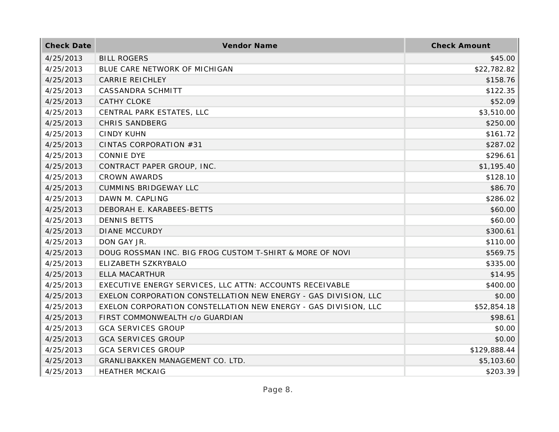| <b>Check Date</b> | Vendor Name                                                     | <b>Check Amount</b> |
|-------------------|-----------------------------------------------------------------|---------------------|
| 4/25/2013         | <b>BILL ROGERS</b>                                              | \$45.00             |
| 4/25/2013         | BLUE CARE NETWORK OF MICHIGAN                                   | \$22,782.82         |
| 4/25/2013         | <b>CARRIE REICHLEY</b>                                          | \$158.76            |
| 4/25/2013         | <b>CASSANDRA SCHMITT</b>                                        | \$122.35            |
| 4/25/2013         | <b>CATHY CLOKE</b>                                              | \$52.09             |
| 4/25/2013         | CENTRAL PARK ESTATES, LLC                                       | \$3,510.00          |
| 4/25/2013         | <b>CHRIS SANDBERG</b>                                           | \$250.00            |
| 4/25/2013         | <b>CINDY KUHN</b>                                               | \$161.72            |
| 4/25/2013         | CINTAS CORPORATION #31                                          | \$287.02            |
| 4/25/2013         | <b>CONNIE DYE</b>                                               | \$296.61            |
| 4/25/2013         | CONTRACT PAPER GROUP, INC.                                      | \$1,195.40          |
| 4/25/2013         | <b>CROWN AWARDS</b>                                             | \$128.10            |
| 4/25/2013         | <b>CUMMINS BRIDGEWAY LLC</b>                                    | \$86.70             |
| 4/25/2013         | DAWN M. CAPLING                                                 | \$286.02            |
| 4/25/2013         | DEBORAH E. KARABEES-BETTS                                       | \$60.00             |
| 4/25/2013         | <b>DENNIS BETTS</b>                                             | \$60.00             |
| 4/25/2013         | <b>DIANE MCCURDY</b>                                            | \$300.61            |
| 4/25/2013         | DON GAY JR.                                                     | \$110.00            |
| 4/25/2013         | DOUG ROSSMAN INC. BIG FROG CUSTOM T-SHIRT & MORE OF NOVI        | \$569.75            |
| 4/25/2013         | ELIZABETH SZKRYBALO                                             | \$335.00            |
| 4/25/2013         | ELLA MACARTHUR                                                  | \$14.95             |
| 4/25/2013         | EXECUTIVE ENERGY SERVICES, LLC ATTN: ACCOUNTS RECEIVABLE        | \$400.00            |
| 4/25/2013         | EXELON CORPORATION CONSTELLATION NEW ENERGY - GAS DIVISION, LLC | \$0.00              |
| 4/25/2013         | EXELON CORPORATION CONSTELLATION NEW ENERGY - GAS DIVISION, LLC | \$52,854.18         |
| 4/25/2013         | FIRST COMMONWEALTH c/o GUARDIAN                                 | \$98.61             |
| 4/25/2013         | <b>GCA SERVICES GROUP</b>                                       | \$0.00              |
| 4/25/2013         | <b>GCA SERVICES GROUP</b>                                       | \$0.00              |
| 4/25/2013         | <b>GCA SERVICES GROUP</b>                                       | \$129,888.44        |
| 4/25/2013         | GRANLIBAKKEN MANAGEMENT CO. LTD.                                | \$5,103.60          |
| 4/25/2013         | <b>HEATHER MCKAIG</b>                                           | \$203.39            |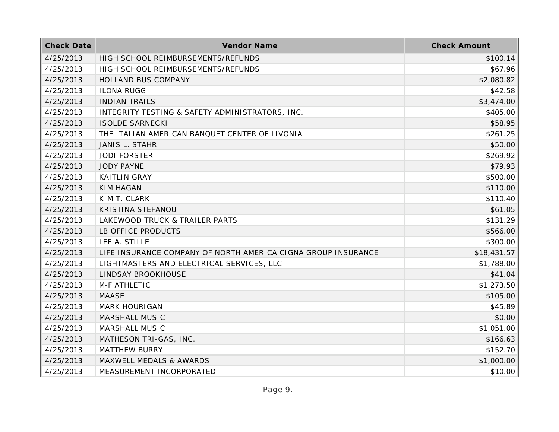| <b>Check Date</b> | Vendor Name                                                   | <b>Check Amount</b> |
|-------------------|---------------------------------------------------------------|---------------------|
| 4/25/2013         | HIGH SCHOOL REIMBURSEMENTS/REFUNDS                            | \$100.14            |
| 4/25/2013         | HIGH SCHOOL REIMBURSEMENTS/REFUNDS                            | \$67.96             |
| 4/25/2013         | HOLLAND BUS COMPANY                                           | \$2,080.82          |
| 4/25/2013         | <b>ILONA RUGG</b>                                             | \$42.58             |
| 4/25/2013         | <b>INDIAN TRAILS</b>                                          | \$3,474.00          |
| 4/25/2013         | INTEGRITY TESTING & SAFETY ADMINISTRATORS, INC.               | \$405.00            |
| 4/25/2013         | <b>ISOLDE SARNECKI</b>                                        | \$58.95             |
| 4/25/2013         | THE ITALIAN AMERICAN BANQUET CENTER OF LIVONIA                | \$261.25            |
| 4/25/2013         | <b>JANIS L. STAHR</b>                                         | \$50.00             |
| 4/25/2013         | <b>JODI FORSTER</b>                                           | \$269.92            |
| 4/25/2013         | <b>JODY PAYNE</b>                                             | \$79.93             |
| 4/25/2013         | <b>KAITLIN GRAY</b>                                           | \$500.00            |
| 4/25/2013         | <b>KIM HAGAN</b>                                              | \$110.00            |
| 4/25/2013         | KIM T. CLARK                                                  | \$110.40            |
| 4/25/2013         | KRISTINA STEFANOU                                             | \$61.05             |
| 4/25/2013         | LAKEWOOD TRUCK & TRAILER PARTS                                | \$131.29            |
| 4/25/2013         | LB OFFICE PRODUCTS                                            | \$566.00            |
| 4/25/2013         | LEE A. STILLE                                                 | \$300.00            |
| 4/25/2013         | LIFE INSURANCE COMPANY OF NORTH AMERICA CIGNA GROUP INSURANCE | \$18,431.57         |
| 4/25/2013         | LIGHTMASTERS AND ELECTRICAL SERVICES, LLC                     | \$1,788.00          |
| 4/25/2013         | LINDSAY BROOKHOUSE                                            | \$41.04             |
| 4/25/2013         | M-F ATHLETIC                                                  | \$1,273.50          |
| 4/25/2013         | <b>MAASE</b>                                                  | \$105.00            |
| 4/25/2013         | <b>MARK HOURIGAN</b>                                          | \$45.89             |
| 4/25/2013         | MARSHALL MUSIC                                                | \$0.00              |
| 4/25/2013         | MARSHALL MUSIC                                                | \$1,051.00          |
| 4/25/2013         | MATHESON TRI-GAS, INC.                                        | \$166.63            |
| 4/25/2013         | <b>MATTHEW BURRY</b>                                          | \$152.70            |
| 4/25/2013         | MAXWELL MEDALS & AWARDS                                       | \$1,000.00          |
| 4/25/2013         | MEASUREMENT INCORPORATED                                      | \$10.00             |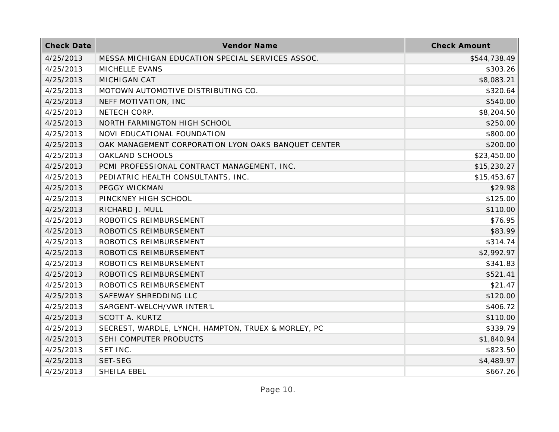| <b>Check Date</b> | Vendor Name                                         | <b>Check Amount</b> |
|-------------------|-----------------------------------------------------|---------------------|
| 4/25/2013         | MESSA MICHIGAN EDUCATION SPECIAL SERVICES ASSOC.    | \$544,738.49        |
| 4/25/2013         | MICHELLE EVANS                                      | \$303.26            |
| 4/25/2013         | MICHIGAN CAT                                        | \$8,083.21          |
| 4/25/2013         | MOTOWN AUTOMOTIVE DISTRIBUTING CO.                  | \$320.64            |
| 4/25/2013         | NEFF MOTIVATION, INC                                | \$540.00            |
| 4/25/2013         | NETECH CORP.                                        | \$8,204.50          |
| 4/25/2013         | NORTH FARMINGTON HIGH SCHOOL                        | \$250.00            |
| 4/25/2013         | NOVI EDUCATIONAL FOUNDATION                         | \$800.00            |
| 4/25/2013         | OAK MANAGEMENT CORPORATION LYON OAKS BANQUET CENTER | \$200.00            |
| 4/25/2013         | OAKLAND SCHOOLS                                     | \$23,450.00         |
| 4/25/2013         | PCMI PROFESSIONAL CONTRACT MANAGEMENT, INC.         | \$15,230.27         |
| 4/25/2013         | PEDIATRIC HEALTH CONSULTANTS, INC.                  | \$15,453.67         |
| 4/25/2013         | PEGGY WICKMAN                                       | \$29.98             |
| 4/25/2013         | PINCKNEY HIGH SCHOOL                                | \$125.00            |
| 4/25/2013         | RICHARD J. MULL                                     | \$110.00            |
| 4/25/2013         | ROBOTICS REIMBURSEMENT                              | \$76.95             |
| 4/25/2013         | ROBOTICS REIMBURSEMENT                              | \$83.99             |
| 4/25/2013         | ROBOTICS REIMBURSEMENT                              | \$314.74            |
| 4/25/2013         | ROBOTICS REIMBURSEMENT                              | \$2,992.97          |
| 4/25/2013         | ROBOTICS REIMBURSEMENT                              | \$341.83            |
| 4/25/2013         | ROBOTICS REIMBURSEMENT                              | \$521.41            |
| 4/25/2013         | ROBOTICS REIMBURSEMENT                              | \$21.47             |
| 4/25/2013         | SAFEWAY SHREDDING LLC                               | \$120.00            |
| 4/25/2013         | SARGENT-WELCH/VWR INTER'L                           | \$406.72            |
| 4/25/2013         | SCOTT A. KURTZ                                      | \$110.00            |
| 4/25/2013         | SECREST, WARDLE, LYNCH, HAMPTON, TRUEX & MORLEY, PC | \$339.79            |
| 4/25/2013         | SEHI COMPUTER PRODUCTS                              | \$1,840.94          |
| 4/25/2013         | SET INC.                                            | \$823.50            |
| 4/25/2013         | SET-SEG                                             | \$4,489.97          |
| 4/25/2013         | SHEILA EBEL                                         | \$667.26            |